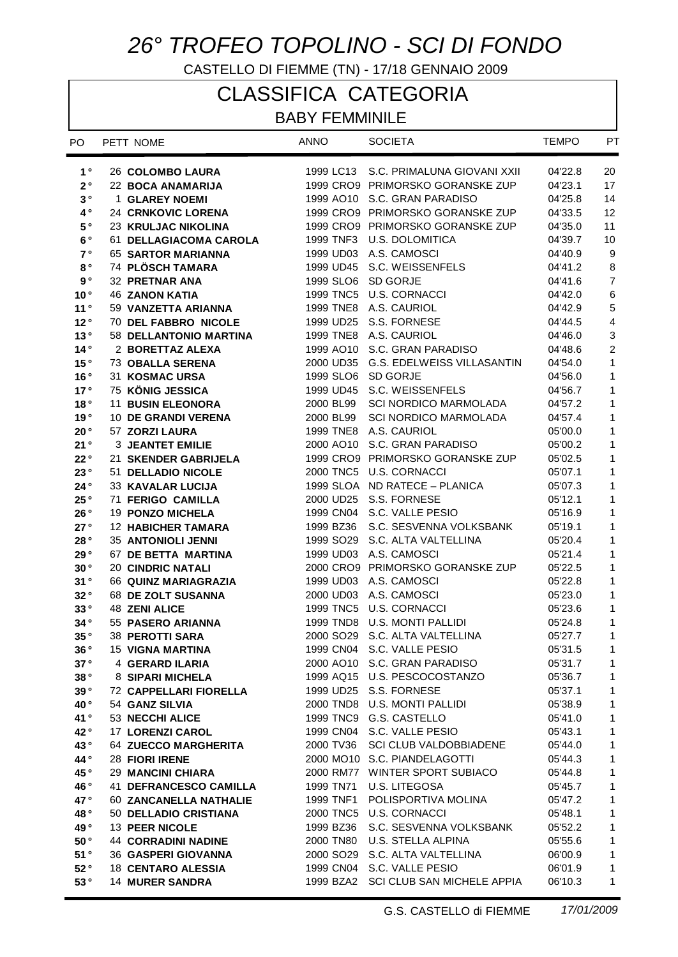## *26° TROFEO TOPOLINO - SCI DI FONDO*

CASTELLO DI FIEMME (TN) - 17/18 GENNAIO 2009

## CLASSIFICA CATEGORIA

## BABY FEMMINILE

| PO.                  | PETT NOME                     | <b>ANNO</b>           | <b>SOCIETA</b>                        | <b>TEMPO</b> | PT                      |
|----------------------|-------------------------------|-----------------------|---------------------------------------|--------------|-------------------------|
| $1^{\circ}$          | 26 COLOMBO LAURA              |                       | 1999 LC13 S.C. PRIMALUNA GIOVANI XXII | 04'22.8      | 20                      |
| $2^{\circ}$          | 22 BOCA ANAMARIJA             |                       | 1999 CRO9 PRIMORSKO GORANSKE ZUP      | 04'23.1      | 17                      |
| $\mathbf 3$ $^\circ$ | <b>1 GLAREY NOEMI</b>         |                       | 1999 AO10 S.C. GRAN PARADISO          | 04'25.8      | 14                      |
| $4^{\circ}$          | <b>24 CRNKOVIC LORENA</b>     |                       | 1999 CRO9 PRIMORSKO GORANSKE ZUP      | 04'33.5      | 12                      |
| 5°                   | 23 KRULJAC NIKOLINA           |                       | 1999 CRO9 PRIMORSKO GORANSKE ZUP      | 04'35.0      | 11                      |
| 6°                   | 61 DELLAGIACOMA CAROLA        | 1999 TNF3             | <b>U.S. DOLOMITICA</b>                | 04'39.7      | 10                      |
| $7^{\circ}$          | <b>65 SARTOR MARIANNA</b>     |                       | 1999 UD03 A.S. CAMOSCI                | 04'40.9      | 9                       |
| $8^{\circ}$          | 74 PLÖSCH TAMARA              | 1999 UD45             | S.C. WEISSENFELS                      | 04'41.2      | $\bf 8$                 |
| $\mathbf{9} \circ$   | <b>32 PRETNAR ANA</b>         |                       | 1999 SLO6 SD GORJE                    | 04'41.6      | $\overline{7}$          |
| 10 <sup>°</sup>      | <b>46 ZANON KATIA</b>         | 1999 TNC5             | <b>U.S. CORNACCI</b>                  | 04'42.0      | $\,6\,$                 |
| 11°                  | 59 VANZETTA ARIANNA           |                       | 1999 TNE8 A.S. CAURIOL                | 04'42.9      | 5                       |
| 12°                  | 70 DEL FABBRO NICOLE          | 1999 UD25             | S.S. FORNESE                          | 04'44.5      | $\overline{\mathbf{4}}$ |
| 13°                  | 58 DELLANTONIO MARTINA        |                       | 1999 TNE8 A.S. CAURIOL                | 04'46.0      | 3                       |
| 14°                  | 2 BORETTAZ ALEXA              | 1999 AO10             | S.C. GRAN PARADISO                    | 04'48.6      | $\overline{c}$          |
| 15°                  | <b>73 OBALLA SERENA</b>       | 2000 UD35             | G.S. EDELWEISS VILLASANTIN            | 04'54.0      | $\mathbf{1}$            |
| 16°                  | 31 KOSMAC URSA                |                       | 1999 SLO6 SD GORJE                    | 04'56.0      | 1                       |
| 17°                  | 75 KÖNIG JESSICA              |                       | 1999 UD45 S.C. WEISSENFELS            | 04'56.7      | 1                       |
| 18 $^{\circ}$        | <b>11 BUSIN ELEONORA</b>      | 2000 BL99             | <b>SCI NORDICO MARMOLADA</b>          | 04'57.2      | 1                       |
| 19°                  | <b>10 DE GRANDI VERENA</b>    | 2000 BL99             | <b>SCI NORDICO MARMOLADA</b>          | 04'57.4      | 1                       |
| 20°                  | 57 ZORZI LAURA                |                       | 1999 TNE8 A.S. CAURIOL                | 05'00.0      | 1                       |
| 21°                  | <b>3 JEANTET EMILIE</b>       | 2000 AO10             | S.C. GRAN PARADISO                    | 05'00.2      | 1                       |
| 22°                  | 21 SKENDER GABRIJELA          |                       | 1999 CRO9 PRIMORSKO GORANSKE ZUP      | 05'02.5      | 1                       |
| 23°                  | 51 DELLADIO NICOLE            |                       | 2000 TNC5 U.S. CORNACCI               | 05'07.1      | 1                       |
| 24°                  | <b>33 KAVALAR LUCIJA</b>      |                       | 1999 SLOA ND RATECE - PLANICA         | 05'07.3      | 1                       |
| 25°                  | 71 FERIGO CAMILLA             |                       | 2000 UD25 S.S. FORNESE                | 05'12.1      | 1                       |
| 26°                  | 19 PONZO MICHELA              |                       | 1999 CN04 S.C. VALLE PESIO            | 05'16.9      | 1                       |
| 27°                  | <b>12 HABICHER TAMARA</b>     | 1999 BZ36             | S.C. SESVENNA VOLKSBANK               | 05'19.1      | 1                       |
| 28°                  | <b>35 ANTONIOLI JENNI</b>     | 1999 SO <sub>29</sub> | S.C. ALTA VALTELLINA                  | 05'20.4      | 1                       |
| 29°                  | 67 DE BETTA MARTINA           |                       | 1999 UD03 A.S. CAMOSCI                | 05'21.4      | 1                       |
| 30°                  | <b>20 CINDRIC NATALI</b>      |                       | 2000 CRO9 PRIMORSKO GORANSKE ZUP      | 05'22.5      | 1                       |
| 31°                  | 66 QUINZ MARIAGRAZIA          |                       | 1999 UD03 A.S. CAMOSCI                | 05'22.8      | 1                       |
| 32°                  | 68 DE ZOLT SUSANNA            |                       | 2000 UD03 A.S. CAMOSCI                | 05'23.0      | 1                       |
| 33°                  | <b>48 ZENI ALICE</b>          |                       | 1999 TNC5 U.S. CORNACCI               | 05'23.6      | 1                       |
| 34°                  | 55 PASERO ARIANNA             |                       | 1999 TND8 U.S. MONTI PALLIDI          | 05'24.8      | 1                       |
| 35°                  | 38 PEROTTI SARA               |                       | 2000 SO29 S.C. ALTA VALTELLINA        | 05'27.7      | 1                       |
| 36°                  | 15 VIGNA MARTINA              |                       | 1999 CN04 S.C. VALLE PESIO            | 05'31.5      | $\mathbf{1}$            |
| 37°                  | 4 GERARD ILARIA               |                       | 2000 AO10 S.C. GRAN PARADISO          | 05'31.7      | 1                       |
| 38°                  | 8 SIPARI MICHELA              |                       | 1999 AQ15 U.S. PESCOCOSTANZO          | 05'36.7      | 1                       |
| 39°                  | <b>72 CAPPELLARI FIORELLA</b> |                       | 1999 UD25 S.S. FORNESE                | 05'37.1      | 1                       |
| 40°                  | 54 GANZ SILVIA                |                       | 2000 TND8 U.S. MONTI PALLIDI          | 05'38.9      | 1                       |
| 41°                  | 53 NECCHI ALICE               |                       | 1999 TNC9 G.S. CASTELLO               | 05'41.0      | 1                       |
| 42°                  | <b>17 LORENZI CAROL</b>       |                       | 1999 CN04 S.C. VALLE PESIO            | 05'43.1      | 1                       |
| 43°                  | 64 ZUECCO MARGHERITA          |                       | 2000 TV36 SCI CLUB VALDOBBIADENE      | 05'44.0      | 1                       |
| 44°                  | <b>28 FIORI IRENE</b>         |                       | 2000 MO10 S.C. PIANDELAGOTTI          | 05'44.3      | 1                       |
| 45°                  | <b>29 MANCINI CHIARA</b>      |                       | 2000 RM77 WINTER SPORT SUBIACO        | 05'44.8      | 1                       |
| 46°                  | <b>41 DEFRANCESCO CAMILLA</b> |                       | 1999 TN71 U.S. LITEGOSA               | 05'45.7      | 1                       |
| 47°                  | 60 ZANCANELLA NATHALIE        |                       | 1999 TNF1 POLISPORTIVA MOLINA         | 05'47.2      | 1                       |
| 48°                  | 50 DELLADIO CRISTIANA         |                       | 2000 TNC5 U.S. CORNACCI               | 05'48.1      | 1                       |
| 49°                  | 13 PEER NICOLE                |                       | 1999 BZ36 S.C. SESVENNA VOLKSBANK     | 05'52.2      | 1                       |
| 50°                  | <b>44 CORRADINI NADINE</b>    |                       | 2000 TN80 U.S. STELLA ALPINA          | 05'55.6      | 1                       |
| 51°                  | <b>36 GASPERI GIOVANNA</b>    |                       | 2000 SO29 S.C. ALTA VALTELLINA        | 06'00.9      | 1                       |
| 52°                  | <b>18 CENTARO ALESSIA</b>     |                       | 1999 CN04 S.C. VALLE PESIO            | 06'01.9      | 1                       |
| 53°                  | <b>14 MURER SANDRA</b>        | 1999 BZA2             | SCI CLUB SAN MICHELE APPIA            | 06'10.3      | 1                       |